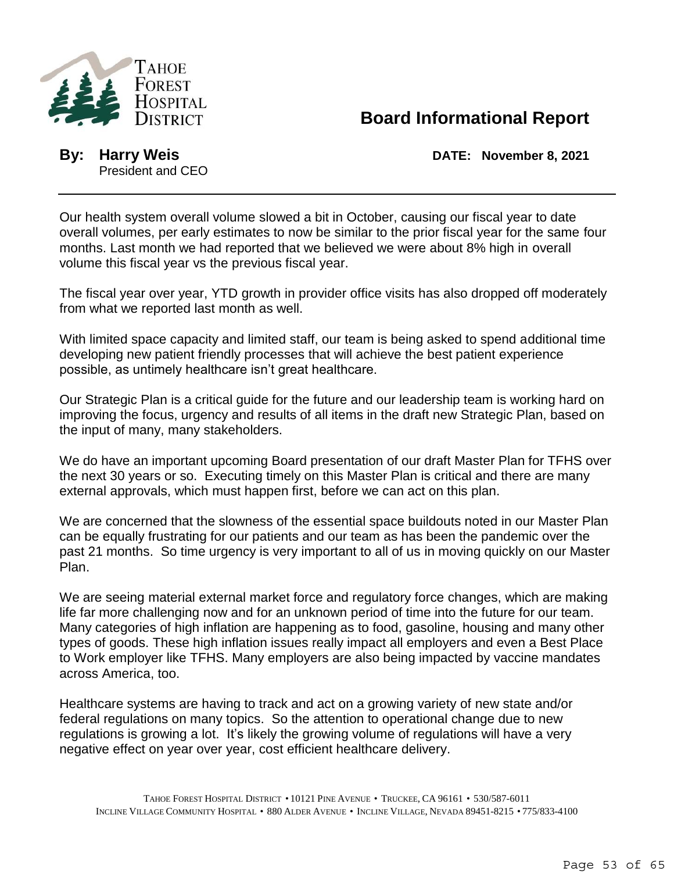

## **Board Informational Report**

President and CEO

**By: Harry Weis DATE: November 8, 2021**

Our health system overall volume slowed a bit in October, causing our fiscal year to date overall volumes, per early estimates to now be similar to the prior fiscal year for the same four months. Last month we had reported that we believed we were about 8% high in overall volume this fiscal year vs the previous fiscal year.

The fiscal year over year, YTD growth in provider office visits has also dropped off moderately from what we reported last month as well.

With limited space capacity and limited staff, our team is being asked to spend additional time developing new patient friendly processes that will achieve the best patient experience possible, as untimely healthcare isn't great healthcare.

Our Strategic Plan is a critical guide for the future and our leadership team is working hard on improving the focus, urgency and results of all items in the draft new Strategic Plan, based on the input of many, many stakeholders.

We do have an important upcoming Board presentation of our draft Master Plan for TFHS over the next 30 years or so. Executing timely on this Master Plan is critical and there are many external approvals, which must happen first, before we can act on this plan.

We are concerned that the slowness of the essential space buildouts noted in our Master Plan can be equally frustrating for our patients and our team as has been the pandemic over the past 21 months. So time urgency is very important to all of us in moving quickly on our Master Plan.

We are seeing material external market force and regulatory force changes, which are making life far more challenging now and for an unknown period of time into the future for our team. Many categories of high inflation are happening as to food, gasoline, housing and many other types of goods. These high inflation issues really impact all employers and even a Best Place to Work employer like TFHS. Many employers are also being impacted by vaccine mandates across America, too.

Healthcare systems are having to track and act on a growing variety of new state and/or federal regulations on many topics. So the attention to operational change due to new regulations is growing a lot. It's likely the growing volume of regulations will have a very negative effect on year over year, cost efficient healthcare delivery.